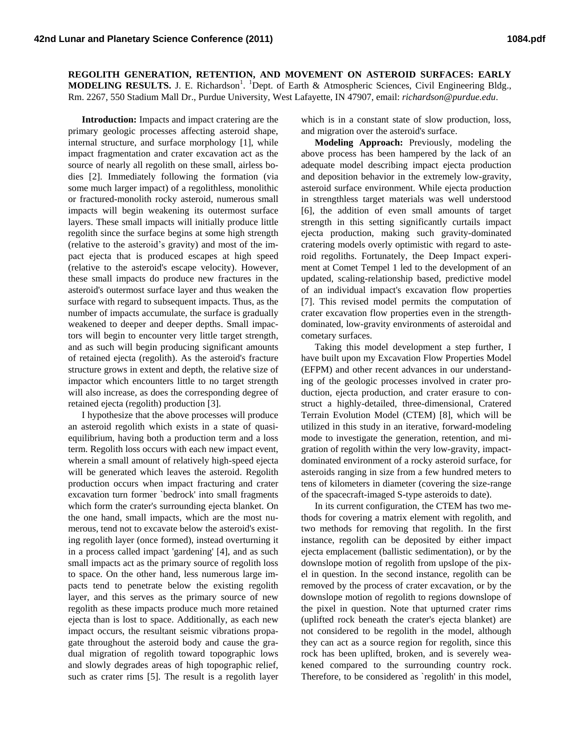**REGOLITH GENERATION, RETENTION, AND MOVEMENT ON ASTEROID SURFACES: EARLY**  MODELING RESULTS. J. E. Richardson<sup>1</sup>. <sup>1</sup>Dept. of Earth & Atmospheric Sciences, Civil Engineering Bldg., Rm. 2267, 550 Stadium Mall Dr., Purdue University, West Lafayette, IN 47907, email: *richardson@purdue.edu*.

**Introduction:** Impacts and impact cratering are the primary geologic processes affecting asteroid shape, internal structure, and surface morphology [1], while impact fragmentation and crater excavation act as the source of nearly all regolith on these small, airless bodies [2]. Immediately following the formation (via some much larger impact) of a regolithless, monolithic or fractured-monolith rocky asteroid, numerous small impacts will begin weakening its outermost surface layers. These small impacts will initially produce little regolith since the surface begins at some high strength (relative to the asteroid's gravity) and most of the impact ejecta that is produced escapes at high speed (relative to the asteroid's escape velocity). However, these small impacts do produce new fractures in the asteroid's outermost surface layer and thus weaken the surface with regard to subsequent impacts. Thus, as the number of impacts accumulate, the surface is gradually weakened to deeper and deeper depths. Small impactors will begin to encounter very little target strength, and as such will begin producing significant amounts of retained ejecta (regolith). As the asteroid's fracture structure grows in extent and depth, the relative size of impactor which encounters little to no target strength will also increase, as does the corresponding degree of retained ejecta (regolith) production [3].

I hypothesize that the above processes will produce an asteroid regolith which exists in a state of quasiequilibrium, having both a production term and a loss term. Regolith loss occurs with each new impact event, wherein a small amount of relatively high-speed ejecta will be generated which leaves the asteroid. Regolith production occurs when impact fracturing and crater excavation turn former `bedrock' into small fragments which form the crater's surrounding ejecta blanket. On the one hand, small impacts, which are the most numerous, tend not to excavate below the asteroid's existing regolith layer (once formed), instead overturning it in a process called impact 'gardening' [4], and as such small impacts act as the primary source of regolith loss to space. On the other hand, less numerous large impacts tend to penetrate below the existing regolith layer, and this serves as the primary source of new regolith as these impacts produce much more retained ejecta than is lost to space. Additionally, as each new impact occurs, the resultant seismic vibrations propagate throughout the asteroid body and cause the gradual migration of regolith toward topographic lows and slowly degrades areas of high topographic relief, such as crater rims [5]. The result is a regolith layer

which is in a constant state of slow production, loss, and migration over the asteroid's surface.

**Modeling Approach:** Previously, modeling the above process has been hampered by the lack of an adequate model describing impact ejecta production and deposition behavior in the extremely low-gravity, asteroid surface environment. While ejecta production in strengthless target materials was well understood [6], the addition of even small amounts of target strength in this setting significantly curtails impact ejecta production, making such gravity-dominated cratering models overly optimistic with regard to asteroid regoliths. Fortunately, the Deep Impact experiment at Comet Tempel 1 led to the development of an updated, scaling-relationship based, predictive model of an individual impact's excavation flow properties [7]. This revised model permits the computation of crater excavation flow properties even in the strengthdominated, low-gravity environments of asteroidal and cometary surfaces.

Taking this model development a step further, I have built upon my Excavation Flow Properties Model (EFPM) and other recent advances in our understanding of the geologic processes involved in crater production, ejecta production, and crater erasure to construct a highly-detailed, three-dimensional, Cratered Terrain Evolution Model (CTEM) [8], which will be utilized in this study in an iterative, forward-modeling mode to investigate the generation, retention, and migration of regolith within the very low-gravity, impactdominated environment of a rocky asteroid surface, for asteroids ranging in size from a few hundred meters to tens of kilometers in diameter (covering the size-range of the spacecraft-imaged S-type asteroids to date).

In its current configuration, the CTEM has two methods for covering a matrix element with regolith, and two methods for removing that regolith. In the first instance, regolith can be deposited by either impact ejecta emplacement (ballistic sedimentation), or by the downslope motion of regolith from upslope of the pixel in question. In the second instance, regolith can be removed by the process of crater excavation, or by the downslope motion of regolith to regions downslope of the pixel in question. Note that upturned crater rims (uplifted rock beneath the crater's ejecta blanket) are not considered to be regolith in the model, although they can act as a source region for regolith, since this rock has been uplifted, broken, and is severely weakened compared to the surrounding country rock. Therefore, to be considered as `regolith' in this model,